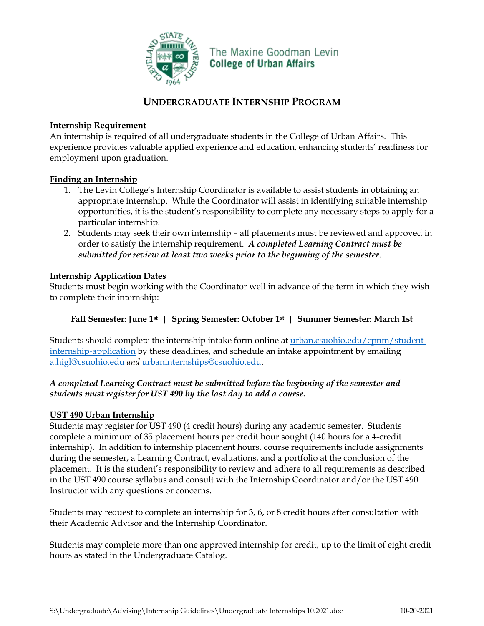

The Maxine Goodman Levin **College of Urban Affairs** 

# **UNDERGRADUATE INTERNSHIP PROGRAM**

# **Internship Requirement**

An internship is required of all undergraduate students in the College of Urban Affairs. This experience provides valuable applied experience and education, enhancing students' readiness for employment upon graduation.

#### **Finding an Internship**

- 1. The Levin College's Internship Coordinator is available to assist students in obtaining an appropriate internship. While the Coordinator will assist in identifying suitable internship opportunities, it is the student's responsibility to complete any necessary steps to apply for a particular internship.
- 2. Students may seek their own internship all placements must be reviewed and approved in order to satisfy the internship requirement. *A completed Learning Contract must be submitted for review at least two weeks prior to the beginning of the semester*.

# **Internship Application Dates**

Students must begin working with the Coordinator well in advance of the term in which they wish to complete their internship:

# **Fall Semester: June 1st | Spring Semester: October 1st | Summer Semester: March 1st**

Students should complete the internship intake form online at [urban.csuohio.edu/cpnm/student](https://urban.csuohio.edu/cpnm/student-internship-application)[internship-application](https://urban.csuohio.edu/cpnm/student-internship-application) by these deadlines, and schedule an intake appointment by emailing [a.higl@csuohio.edu](mailto:a.higl@csuohio.edu) *and* [urbaninternships@csuohio.edu.](mailto:urbaninternships@csuohio.edu)

# *A completed Learning Contract must be submitted before the beginning of the semester and students must register for UST 490 by the last day to add a course.*

#### **UST 490 Urban Internship**

Students may register for UST 490 (4 credit hours) during any academic semester. Students complete a minimum of 35 placement hours per credit hour sought (140 hours for a 4-credit internship). In addition to internship placement hours, course requirements include assignments during the semester, a Learning Contract, evaluations, and a portfolio at the conclusion of the placement. It is the student's responsibility to review and adhere to all requirements as described in the UST 490 course syllabus and consult with the Internship Coordinator and/or the UST 490 Instructor with any questions or concerns.

Students may request to complete an internship for 3, 6, or 8 credit hours after consultation with their Academic Advisor and the Internship Coordinator.

Students may complete more than one approved internship for credit, up to the limit of eight credit hours as stated in the Undergraduate Catalog.